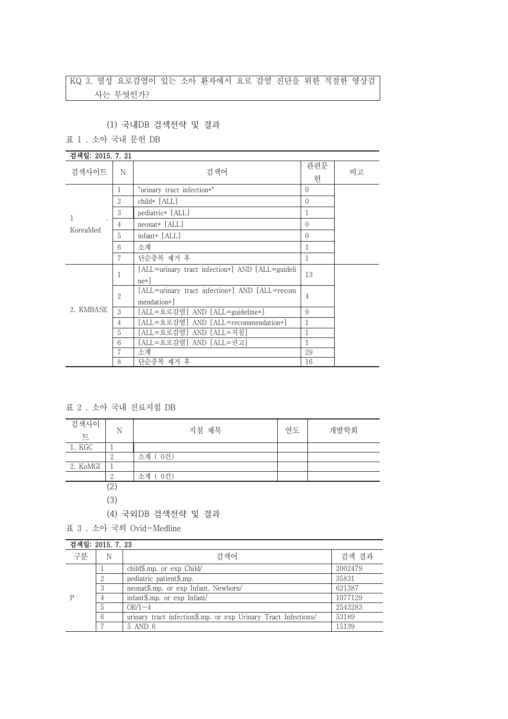## KQ 3. 열성 요로감염이 있는 소아 환자에서 요로 감염 진단을 위한 적절한 영상검 사는 무엇인가?

### (1) 국내DB 검색전략 및 결과

표 1 . 소아 국내 문헌 DB

| 검색일: 2015. 7. 21 |                |                                                              |                |    |
|------------------|----------------|--------------------------------------------------------------|----------------|----|
| 검색사이트            | N              | 검색어                                                          | 관련문<br>헌       | 비고 |
|                  | 1              | "urinary tract infection*"                                   | $\Omega$       |    |
|                  | $\overline{2}$ | child* [ALL]                                                 | $\Omega$       |    |
| 1                | 3              | pediatric* [ALL]                                             | 1              |    |
|                  | 4              | $neonat*$ [ALL]                                              | $\Omega$       |    |
| KoreaMed         | 5              | $infant*$ [ALL]                                              | $\Omega$       |    |
|                  | 6              | 소계                                                           | 1              |    |
|                  | 7              | 단순중복 제거 후                                                    | 1              |    |
| 2. KMBASE        | 1              | [ALL=urinary tract infection*] AND [ALL=guideli<br>$ne*$ ]   | 13             |    |
|                  | $\overline{2}$ | [ALL=urinary tract infection*] AND [ALL=recom<br>mendation*] | $\overline{4}$ |    |
|                  | 3              | [ALL=요로감염] AND [ALL=guideline*]                              | 9              |    |
|                  | $\overline{4}$ | [ALL=요로감염] AND [ALL=recommendation*]                         | 1              |    |
|                  | 5              | [ALL=요로감염] AND [ALL=지침]                                      | 1              |    |
|                  | 6              | [ALL=요로감염] AND [ALL=권고]                                      | 1              |    |
|                  |                | 소계                                                           | 29             |    |
|                  | 8              | 단순중복 제거 후                                                    | 16             |    |

표 2 . 소아 국내 진료지침 DB

| 검색사이<br>$\overline{\mathbf{E}}$ | N                 | 지침 제목     | 연도 | 개발학회 |
|---------------------------------|-------------------|-----------|----|------|
| 1. KGC                          |                   |           |    |      |
|                                 |                   | 소계 (0건)   |    |      |
| 2. KoMGI                        |                   |           |    |      |
|                                 |                   | 0건)<br>소계 |    |      |
|                                 | $\left( 2\right)$ |           |    |      |

(3)

(4) 국외DB 검색전략 및 결과

표 3 . 소아 국외 Ovid-Medline

| 검색일: 2015, 7, 23 |        |                                                                |         |
|------------------|--------|----------------------------------------------------------------|---------|
| 구분               | N      | 검색어                                                            | 검색 결과   |
|                  |        | child \$.mp. or $\exp$ Child                                   | 2002479 |
|                  | റ<br>∠ | pediatric patient\$.mp.                                        | 35831   |
|                  | 3      | neonat\$.mp. or exp Infant, Newborn/                           | 621387  |
|                  |        | infant\$.mp. or exp Infant/                                    | 1077129 |
|                  | 5      | $OR/1-4$                                                       | 2543283 |
|                  | 6      | urinary tract infection\$.mp. or exp Urinary Tract Infections/ | 53189   |
|                  |        | 5 AND 6                                                        | 15139   |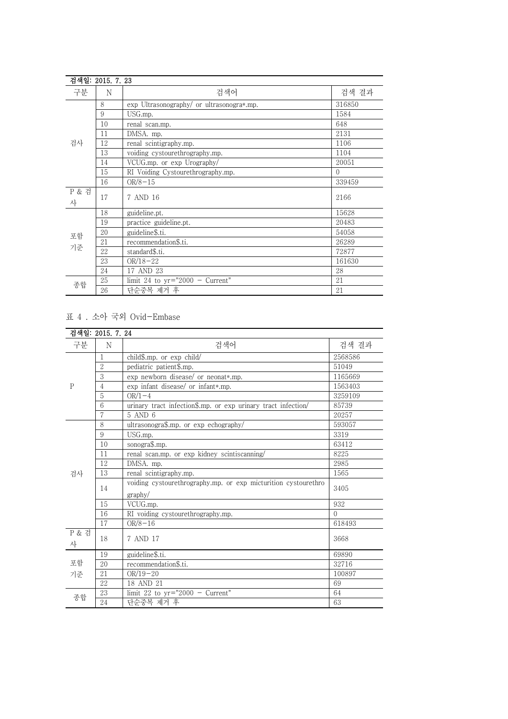|            | 검색일: 2015. 7. 23 |                                           |          |
|------------|------------------|-------------------------------------------|----------|
| 구분         | N                | 검색어                                       | 검색 결과    |
|            | 8                | exp Ultrasonography/ or ultrasonogra*.mp. | 316850   |
|            | 9                | USG.mp.                                   | 1584     |
|            | 10               | renal scan.mp.                            | 648      |
|            | 11               | DMSA. mp.                                 | 2131     |
| 검사         | 12               | renal scintigraphy.mp.                    | 1106     |
|            | 13               | voiding cystourethrography.mp.            | 1104     |
|            | 14               | VCUG.mp. or exp Urography/                | 20051    |
|            | 15               | RI Voiding Cystourethrography.mp.         | $\Omega$ |
|            | 16               | $OR/8 - 15$                               | 339459   |
| P & 검<br>사 | 17               | 7 AND 16                                  | 2166     |
|            | 18               | guideline.pt.                             | 15628    |
|            | 19               | practice guideline.pt.                    | 20483    |
| 포함         | 20               | guideline\$.ti.                           | 54058    |
|            | 21               | recommendation\$.ti.                      | 26289    |
| 기준         | 22               | standard\$.ti.                            | 72877    |
|            | 23               | $OR/18 - 22$                              | 161630   |
|            | 24               | 17 AND 23                                 | 28       |
|            | 25               | limit 24 to $yr="2000 - Current"$         | 21       |
| 종합         | 26               | 단순중복 제거 후                                 | 21       |

# 표 4 . 소아 국외 Ovid-Embase

|                       | 검색일: 2015. 7. 24 |                                                                |          |
|-----------------------|------------------|----------------------------------------------------------------|----------|
| 구분                    | N                | 검색어                                                            | 검색 결과    |
|                       | 1                | child\$.mp. or exp child/                                      | 2568586  |
|                       | $\overline{2}$   | pediatric patient\$.mp.                                        | 51049    |
|                       | 3                | exp newborn disease/ or neonat*.mp.                            | 1165669  |
| $\mathsf{P}$          | 4                | exp infant disease/ or infant*.mp.                             | 1563403  |
|                       | 5                | $OR/1-4$                                                       | 3259109  |
|                       | 6                | urinary tract infection\$.mp. or exp urinary tract infection/  | 85739    |
|                       | 7                | 5 AND 6                                                        | 20257    |
|                       | 8                | ultrasonogra\$.mp. or exp echography/                          | 593057   |
|                       | $\boldsymbol{9}$ | USG.mp.                                                        | 3319     |
|                       | 10               | sonogra\$.mp.                                                  | 63412    |
|                       | 11               | renal scan.mp. or exp kidney scintiscanning/                   | 8225     |
|                       | 12               | DMSA. mp.                                                      | 2985     |
| 검사                    | 13               | renal scintigraphy.mp.                                         | 1565     |
|                       | 14               | voiding cystourethrography.mp. or exp micturition cystourethro | 3405     |
|                       |                  | graphy/                                                        |          |
|                       | 15               | VCUG.mp.                                                       | 932      |
|                       | 16               | RI voiding cystourethrography.mp.                              | $\Omega$ |
|                       | 17               | $OR/8-16$                                                      | 618493   |
| <b>P &amp; 검</b><br>사 | 18               | 7 AND 17                                                       | 3668     |
| 포함<br>기준              | 19               | guideline\$.ti.                                                | 69890    |
|                       | 20               | recommendation\$.ti.                                           | 32716    |
|                       | 21               | $OR/19-20$                                                     | 100897   |
|                       | 22               | 18 AND 21                                                      | 69       |
| 종합                    | 23               | limit 22 to $yr="2000 - Current"$                              | 64       |
|                       | 24               | 단순중복 제거 후                                                      | 63       |